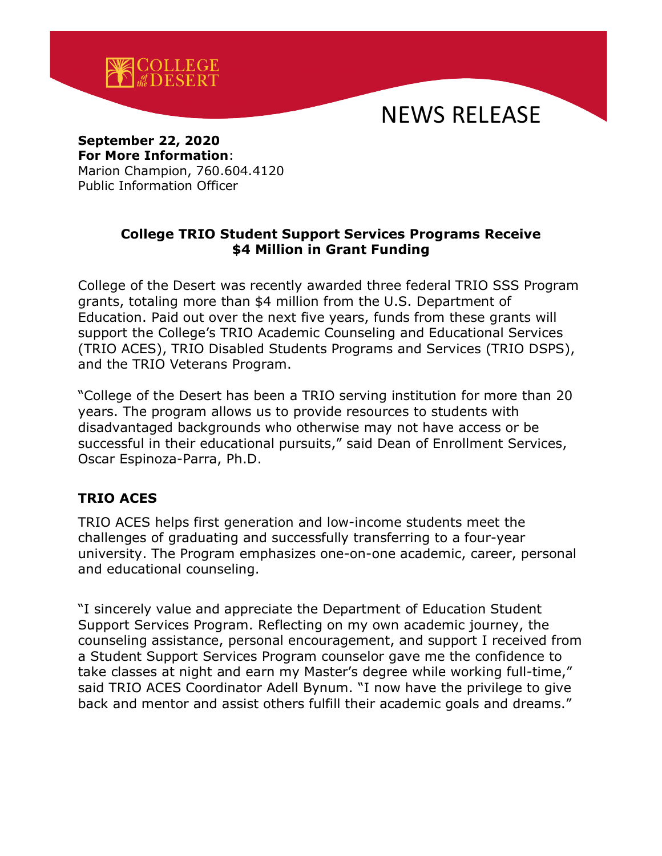

# NEWS RELEASE

#### **September 22, 2020 For More Information**: Marion Champion, 760.604.4120

Public Information Officer

### **College TRIO Student Support Services Programs Receive \$4 Million in Grant Funding**

College of the Desert was recently awarded three federal TRIO SSS Program grants, totaling more than \$4 million from the U.S. Department of Education. Paid out over the next five years, funds from these grants will support the College's TRIO Academic Counseling and Educational Services (TRIO ACES), TRIO Disabled Students Programs and Services (TRIO DSPS), and the TRIO Veterans Program.

"College of the Desert has been a TRIO serving institution for more than 20 years. The program allows us to provide resources to students with disadvantaged backgrounds who otherwise may not have access or be successful in their educational pursuits," said Dean of Enrollment Services, Oscar Espinoza-Parra, Ph.D.

#### **TRIO ACES**

TRIO ACES helps first generation and low-income students meet the challenges of graduating and successfully transferring to a four-year university. The Program emphasizes one-on-one academic, career, personal and educational counseling.

"I sincerely value and appreciate the Department of Education Student Support Services Program. Reflecting on my own academic journey, the counseling assistance, personal encouragement, and support I received from a Student Support Services Program counselor gave me the confidence to take classes at night and earn my Master's degree while working full-time," said TRIO ACES Coordinator Adell Bynum. "I now have the privilege to give back and mentor and assist others fulfill their academic goals and dreams."